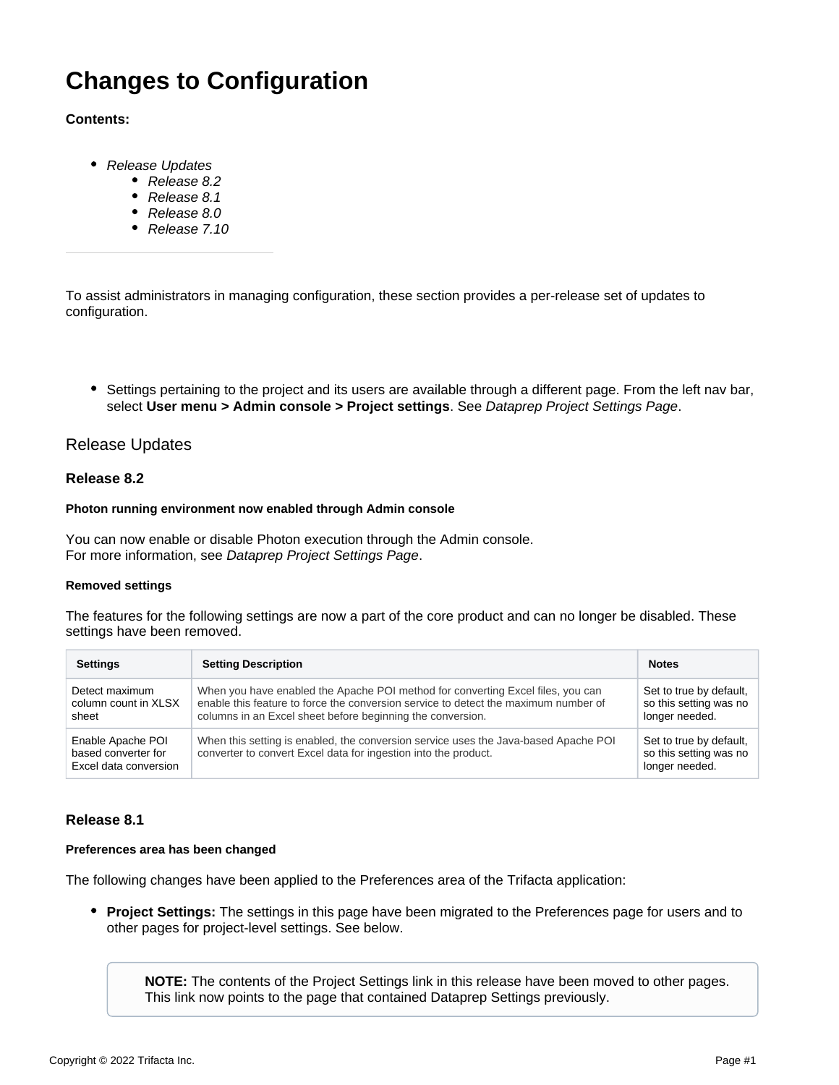# **Changes to Configuration**

## **Contents:**

- [Release Updates](#page-0-0)
	- [Release 8.2](#page-0-1)
	- [Release 8.1](#page-0-2)
	- [Release 8.0](#page-1-0)
	- [Release 7.10](#page-1-1)

To assist administrators in managing configuration, these section provides a per-release set of updates to configuration.

• Settings pertaining to the project and its users are available through a different page. From the left nav bar, select **User menu > Admin console > Project settings**. See [Dataprep Project Settings Page](https://docs.trifacta.com/display/DP/Dataprep+Project+Settings+Page).

## <span id="page-0-0"></span>Release Updates

## <span id="page-0-1"></span>**Release 8.2**

#### **Photon running environment now enabled through Admin console**

You can now enable or disable Photon execution through the Admin console. For more information, see [Dataprep Project Settings Page](https://docs.trifacta.com/display/DP/Dataprep+Project+Settings+Page).

#### **Removed settings**

The features for the following settings are now a part of the core product and can no longer be disabled. These settings have been removed.

| <b>Settings</b>                                                   | <b>Setting Description</b>                                                                                                                                                                                                           | <b>Notes</b>                                                        |
|-------------------------------------------------------------------|--------------------------------------------------------------------------------------------------------------------------------------------------------------------------------------------------------------------------------------|---------------------------------------------------------------------|
| Detect maximum<br>column count in XLSX<br>sheet                   | When you have enabled the Apache POI method for converting Excel files, you can<br>enable this feature to force the conversion service to detect the maximum number of<br>columns in an Excel sheet before beginning the conversion. | Set to true by default,<br>so this setting was no<br>longer needed. |
| Enable Apache POI<br>based converter for<br>Excel data conversion | When this setting is enabled, the conversion service uses the Java-based Apache POI<br>converter to convert Excel data for ingestion into the product.                                                                               | Set to true by default,<br>so this setting was no<br>longer needed. |

## <span id="page-0-2"></span>**Release 8.1**

#### **Preferences area has been changed**

The following changes have been applied to the Preferences area of the Trifacta application:

**Project Settings:** The settings in this page have been migrated to the Preferences page for users and to other pages for project-level settings. See below.

**NOTE:** The contents of the Project Settings link in this release have been moved to other pages. This link now points to the page that contained Dataprep Settings previously.